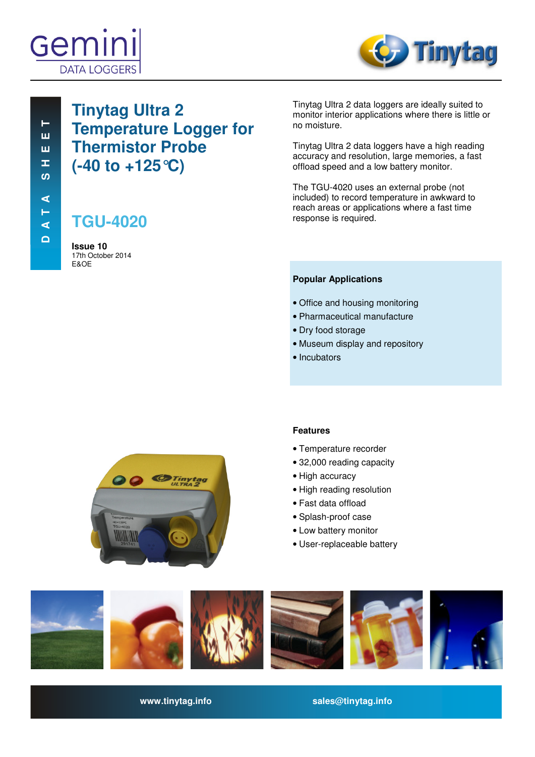



# **Tinytag Ultra 2 Temperature Logger for Thermistor Probe (-40 to +125°C)**

# **TGU-4020**

**Issue 10**  17th October 2014 E&OE

Tinytag Ultra 2 data loggers are ideally suited to monitor interior applications where there is little or no moisture.

Tinytag Ultra 2 data loggers have a high reading accuracy and resolution, large memories, a fast offload speed and a low battery monitor.

The TGU-4020 uses an external probe (not included) to record temperature in awkward to reach areas or applications where a fast time response is required.

### **Popular Applications**

- Office and housing monitoring
- Pharmaceutical manufacture
- Dry food storage
- Museum display and repository
- Incubators



### **Features**

- Temperature recorder
- 32,000 reading capacity
- High accuracy
- High reading resolution
- Fast data offload
- Splash-proof case
- Low battery monitor
- User-replaceable battery



**www.tinytag.info sales@tinytag.info**